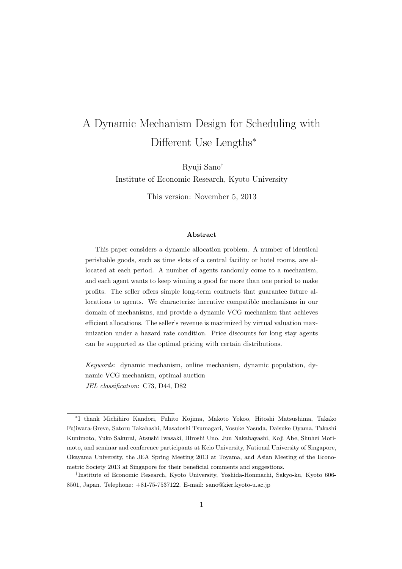# A Dynamic Mechanism Design for Scheduling with Different Use Lengths*<sup>∗</sup>*

Ryuji Sano*†* Institute of Economic Research, Kyoto University

This version: November 5, 2013

#### **Abstract**

This paper considers a dynamic allocation problem. A number of identical perishable goods, such as time slots of a central facility or hotel rooms, are allocated at each period. A number of agents randomly come to a mechanism, and each agent wants to keep winning a good for more than one period to make profits. The seller offers simple long-term contracts that guarantee future allocations to agents. We characterize incentive compatible mechanisms in our domain of mechanisms, and provide a dynamic VCG mechanism that achieves efficient allocations. The seller's revenue is maximized by virtual valuation maximization under a hazard rate condition. Price discounts for long stay agents can be supported as the optimal pricing with certain distributions.

*Keywords*: dynamic mechanism, online mechanism, dynamic population, dynamic VCG mechanism, optimal auction *JEL classification*: C73, D44, D82

*<sup>∗</sup>* I thank Michihiro Kandori, Fuhito Kojima, Makoto Yokoo, Hitoshi Matsushima, Takako Fujiwara-Greve, Satoru Takahashi, Masatoshi Tsumagari, Yosuke Yasuda, Daisuke Oyama, Takashi Kunimoto, Yuko Sakurai, Atsushi Iwasaki, Hiroshi Uno, Jun Nakabayashi, Koji Abe, Shuhei Morimoto, and seminar and conference participants at Keio University, National University of Singapore, Okayama University, the JEA Spring Meeting 2013 at Toyama, and Asian Meeting of the Econometric Society 2013 at Singapore for their beneficial comments and suggestions.

*<sup>†</sup>* Institute of Economic Research, Kyoto University, Yoshida-Honmachi, Sakyo-ku, Kyoto 606- 8501, Japan. Telephone: +81-75-7537122. E-mail: sano@kier.kyoto-u.ac.jp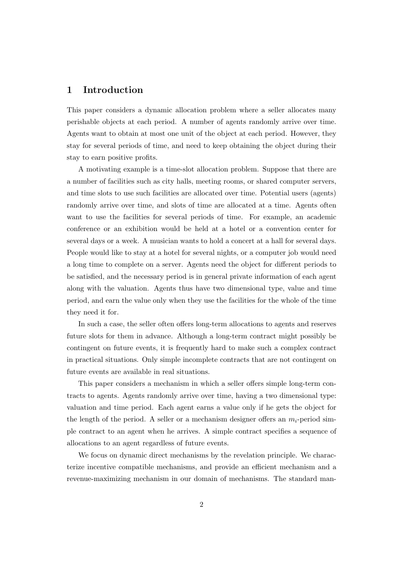# **1 Introduction**

This paper considers a dynamic allocation problem where a seller allocates many perishable objects at each period. A number of agents randomly arrive over time. Agents want to obtain at most one unit of the object at each period. However, they stay for several periods of time, and need to keep obtaining the object during their stay to earn positive profits.

A motivating example is a time-slot allocation problem. Suppose that there are a number of facilities such as city halls, meeting rooms, or shared computer servers, and time slots to use such facilities are allocated over time. Potential users (agents) randomly arrive over time, and slots of time are allocated at a time. Agents often want to use the facilities for several periods of time. For example, an academic conference or an exhibition would be held at a hotel or a convention center for several days or a week. A musician wants to hold a concert at a hall for several days. People would like to stay at a hotel for several nights, or a computer job would need a long time to complete on a server. Agents need the object for different periods to be satisfied, and the necessary period is in general private information of each agent along with the valuation. Agents thus have two dimensional type, value and time period, and earn the value only when they use the facilities for the whole of the time they need it for.

In such a case, the seller often offers long-term allocations to agents and reserves future slots for them in advance. Although a long-term contract might possibly be contingent on future events, it is frequently hard to make such a complex contract in practical situations. Only simple incomplete contracts that are not contingent on future events are available in real situations.

This paper considers a mechanism in which a seller offers simple long-term contracts to agents. Agents randomly arrive over time, having a two dimensional type: valuation and time period. Each agent earns a value only if he gets the object for the length of the period. A seller or a mechanism designer offers an  $m_i$ -period simple contract to an agent when he arrives. A simple contract specifies a sequence of allocations to an agent regardless of future events.

We focus on dynamic direct mechanisms by the revelation principle. We characterize incentive compatible mechanisms, and provide an efficient mechanism and a revenue-maximizing mechanism in our domain of mechanisms. The standard man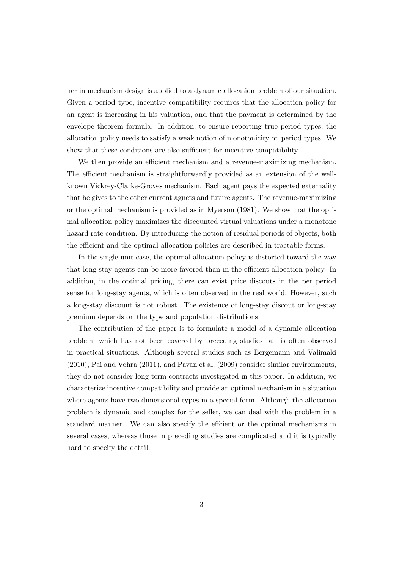ner in mechanism design is applied to a dynamic allocation problem of our situation. Given a period type, incentive compatibility requires that the allocation policy for an agent is increasing in his valuation, and that the payment is determined by the envelope theorem formula. In addition, to ensure reporting true period types, the allocation policy needs to satisfy a weak notion of monotonicity on period types. We show that these conditions are also sufficient for incentive compatibility.

We then provide an efficient mechanism and a revenue-maximizing mechanism. The efficient mechanism is straightforwardly provided as an extension of the wellknown Vickrey-Clarke-Groves mechanism. Each agent pays the expected externality that he gives to the other current agnets and future agents. The revenue-maximizing or the optimal mechanism is provided as in Myerson (1981). We show that the optimal allocation policy maximizes the discounted virtual valuations under a monotone hazard rate condition. By introducing the notion of residual periods of objects, both the efficient and the optimal allocation policies are described in tractable forms.

In the single unit case, the optimal allocation policy is distorted toward the way that long-stay agents can be more favored than in the efficient allocation policy. In addition, in the optimal pricing, there can exist price discouts in the per period sense for long-stay agents, which is often observed in the real world. However, such a long-stay discount is not robust. The existence of long-stay discout or long-stay premium depends on the type and population distributions.

The contribution of the paper is to formulate a model of a dynamic allocation problem, which has not been covered by preceding studies but is often observed in practical situations. Although several studies such as Bergemann and Valimaki (2010), Pai and Vohra (2011), and Pavan et al. (2009) consider similar environments, they do not consider long-term contracts investigated in this paper. In addition, we characterize incentive compatibility and provide an optimal mechanism in a situation where agents have two dimensional types in a special form. Although the allocation problem is dynamic and complex for the seller, we can deal with the problem in a standard manner. We can also specify the effcient or the optimal mechanisms in several cases, whereas those in preceding studies are complicated and it is typically hard to specify the detail.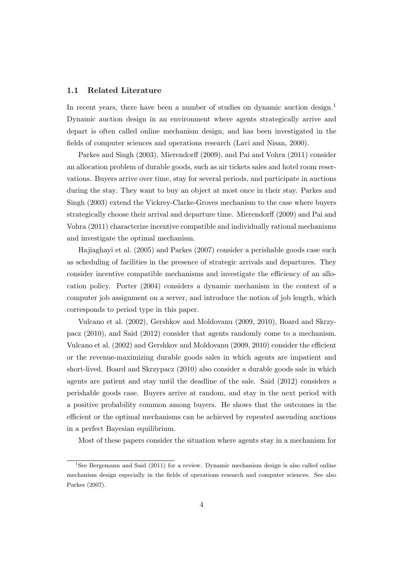### **1.1 Related Literature**

In recent years, there have been a number of studies on dynamic auction design.<sup>1</sup> Dynamic auction design in an environment where agents strategically arrive and depart is often called online mechanism design, and has been investigated in the fields of computer sciences and operations research (Lavi and Nisan, 2000).

Parkes and Singh (2003), Mierendorff (2009), and Pai and Vohra (2011) consider an allocation problem of durable goods, such as air tickets sales and hotel room reservations. Buyers arrive over time, stay for several periods, and participate in auctions during the stay. They want to buy an object at most once in their stay. Parkes and Singh (2003) extend the Vickrey-Clarke-Groves mechanism to the case where buyers strategically choose their arrival and departure time. Mierendorff (2009) and Pai and Vohra (2011) characterize incentive compatible and individually rational mechanisms and investigate the optimal mechanism.

Hajiaghayi et al. (2005) and Parkes (2007) consider a perishable goods case such as scheduling of facilities in the presence of strategic arrivals and departures. They consider incentive compatible mechanisms and investigate the efficiency of an allocation policy. Porter (2004) considers a dynamic mechanism in the context of a computer job assignment on a server, and introduce the notion of job length, which corresponds to period type in this paper.

Vulcano et al. (2002), Gershkov and Moldovanu (2009, 2010), Board and Skrzypacz (2010), and Said (2012) consider that agents randomly come to a mechanism. Vulcano et al. (2002) and Gershkov and Moldovanu (2009, 2010) consider the efficient or the revenue-maximizing durable goods sales in which agents are impatient and short-lived. Board and Skrzypacz (2010) also consider a durable goods sale in which agents are patient and stay until the deadline of the sale. Said (2012) considers a perishable goods case. Buyers arrive at random, and stay in the next period with a positive probability common among buyers. He shows that the outcomes in the efficient or the optimal mechanisms can be achieved by repeated ascending auctions in a perfect Bayesian equilibrium.

Most of these papers consider the situation where agents stay in a mechanism for

<sup>1</sup>See Bergemann and Said (2011) for a review. Dynamic mechanism design is also called online mechanism design especially in the fields of operations research and computer sciences. See also Parkes (2007).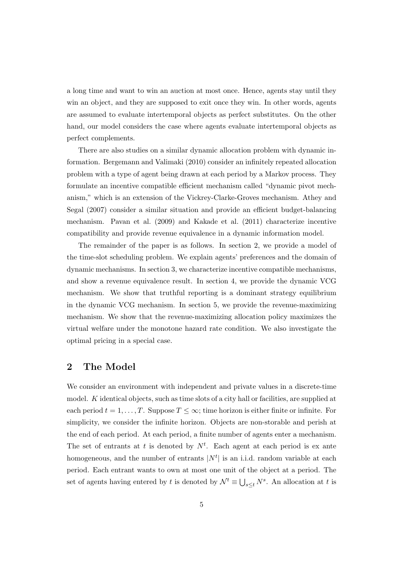a long time and want to win an auction at most once. Hence, agents stay until they win an object, and they are supposed to exit once they win. In other words, agents are assumed to evaluate intertemporal objects as perfect substitutes. On the other hand, our model considers the case where agents evaluate intertemporal objects as perfect complements.

There are also studies on a similar dynamic allocation problem with dynamic information. Bergemann and Valimaki (2010) consider an infinitely repeated allocation problem with a type of agent being drawn at each period by a Markov process. They formulate an incentive compatible efficient mechanism called "dynamic pivot mechanism," which is an extension of the Vickrey-Clarke-Groves mechanism. Athey and Segal (2007) consider a similar situation and provide an efficient budget-balancing mechanism. Pavan et al. (2009) and Kakade et al. (2011) characterize incentive compatibility and provide revenue equivalence in a dynamic information model.

The remainder of the paper is as follows. In section 2, we provide a model of the time-slot scheduling problem. We explain agents' preferences and the domain of dynamic mechanisms. In section 3, we characterize incentive compatible mechanisms, and show a revenue equivalence result. In section 4, we provide the dynamic VCG mechanism. We show that truthful reporting is a dominant strategy equilibrium in the dynamic VCG mechanism. In section 5, we provide the revenue-maximizing mechanism. We show that the revenue-maximizing allocation policy maximizes the virtual welfare under the monotone hazard rate condition. We also investigate the optimal pricing in a special case.

# **2 The Model**

We consider an environment with independent and private values in a discrete-time model. *K* identical objects, such as time slots of a city hall or facilities, are supplied at each period  $t = 1, \ldots, T$ . Suppose  $T \leq \infty$ ; time horizon is either finite or infinite. For simplicity, we consider the infinite horizon. Objects are non-storable and perish at the end of each period. At each period, a finite number of agents enter a mechanism. The set of entrants at *t* is denoted by  $N^t$ . Each agent at each period is ex ante homogeneous, and the number of entrants  $|N^t|$  is an i.i.d. random variable at each period. Each entrant wants to own at most one unit of the object at a period. The set of agents having entered by *t* is denoted by  $\mathcal{N}^t \equiv \bigcup_{s \leq t} N^s$ . An allocation at *t* is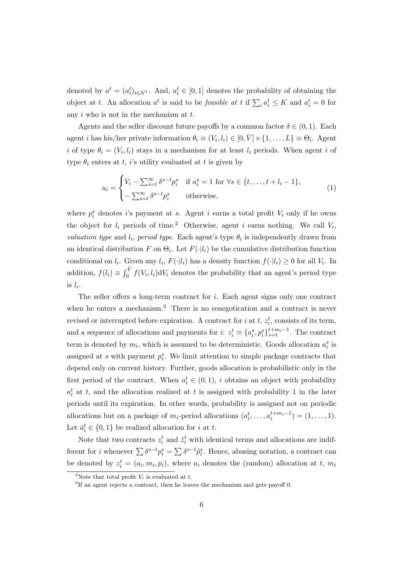denoted by  $a^t = (a_i^t)_{i \in \mathcal{N}^t}$ . And,  $a_i^t \in [0, 1]$  denotes the probability of obtaining the object at *t*. An allocation  $a^t$  is said to be *feasible at t* if  $\sum_i a_i^t \leq K$  and  $a_i^t = 0$  for any *i* who is not in the mechanism at *t*.

Agents and the seller discount future payoffs by a common factor  $\delta \in (0,1)$ . Each agent *i* has his/her private information  $\theta_i \equiv (V_i, l_i) \in [0, \bar{V}] \times \{1, \ldots, L\} \equiv \Theta_i$ . Agent *i* of type  $\theta_i = (V_i, l_i)$  stays in a mechanism for at least  $l_i$  periods. When agent *i* of type  $\theta_i$  enters at *t*, *i*'s utility evaluated at *t* is given by

$$
u_i = \begin{cases} V_i - \sum_{s=t}^{\infty} \delta^{s-t} p_i^s & \text{if } a_i^s = 1 \text{ for } \forall s \in \{t, \dots, t + l_i - 1\}, \\ -\sum_{s=t}^{\infty} \delta^{s-t} p_i^s & \text{otherwise,} \end{cases}
$$
(1)

where  $p_i^s$  denotes *i*'s payment at *s*. Agent *i* earns a total profit  $V_i$  only if he owns the object for  $l_i$  periods of time.<sup>2</sup> Otherwise, agent *i* earns nothing. We call  $V_i$ , *valuation type* and  $l_i$ , *period type*. Each agent's type  $\theta_i$  is independently drawn from an identical distribution *F* on  $\Theta_i$ . Let  $F(\cdot|l_i)$  be the cumulative distribution function conditional on  $l_i$ . Given any  $l_i$ ,  $F(\cdot | l_i)$  has a density function  $f(\cdot | l_i) \geq 0$  for all  $V_i$ . In addition,  $f(l_i) \equiv \int_0^{\bar{V}} f(V_i, l_i) dV_i$  denotes the probability that an agent's period type is  $l_i$ .

The seller offers a long-term contract for *i*. Each agent signs only one contract when he enters a mechanism.<sup>3</sup> There is no renegotication and a contract is never revised or interrupted before expiration. A contract for *i* at  $t$ ,  $z_i^t$ , consists of its term, and a sequence of allocations and payments for  $i: z_i^t \equiv \{a_i^s, p_i^s\}_{s=t}^{t+m_i-1}$ . The contract term is denoted by  $m_i$ , which is assumed to be deterministic. Goods allocation  $a_i^s$  is assigned at *s* with payment  $p_i^s$ . We limit attention to simple package contracts that depend only on current history. Further, goods allocation is probabilistic only in the first period of the contract. When  $a_i^t \in (0,1)$ , *i* obtains an object with probability  $a_i^t$  at *t*, and the allocation realized at *t* is assigned with probability 1 in the later periods until its expiration. In other words, probability is assigned not on periodic allocations but on a package of  $m_i$ -period allocations  $(a_i^t, \ldots, a_i^{t+m_i-1}) = (1, \ldots, 1)$ . Let  $\bar{a}_i^t \in \{0, 1\}$  be realized allocation for *i* at *t*.

Note that two contracts  $z_i^t$  and  $\tilde{z}_i^t$  with identical terms and allocations are indifferent for *i* whenever  $\sum \delta^{s-t} p_i^s = \sum \delta^{s-t} \tilde{p}_i^s$ . Hence, abusing notation, a contract can be denoted by  $z_i^t = (a_i, m_i, p_i)$ , where  $a_i$  denotes the (random) allocation at *t*,  $m_i$ 

<sup>&</sup>lt;sup>2</sup>Note that total profit  $V_i$  is evaluated at  $t$ .

 ${}^{3}$ If an agent rejects a contract, then he leaves the mechanism and gets payoff 0.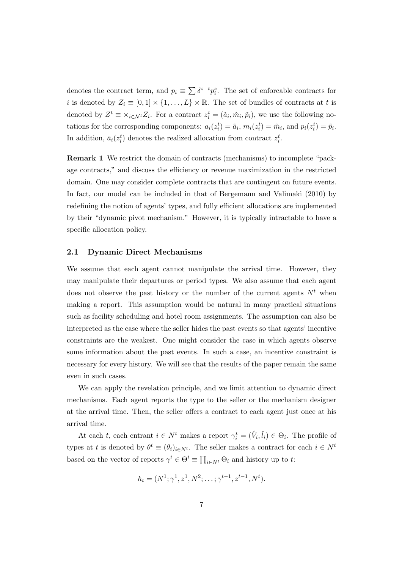denotes the contract term, and  $p_i \equiv \sum \delta^{s-t} p_i^s$ . The set of enforcable contracts for *i* is denoted by  $Z_i \equiv [0,1] \times \{1,\ldots,L\} \times \mathbb{R}$ . The set of bundles of contracts at *t* is denoted by  $Z^t \equiv \times_{i \in \mathcal{N}^t} Z_i$ . For a contract  $z_i^t = (\tilde{a}_i, \tilde{m}_i, \tilde{p}_i)$ , we use the following notations for the corresponding components:  $a_i(z_i^t) = \tilde{a}_i$ ,  $m_i(z_i^t) = \tilde{m}_i$ , and  $p_i(z_i^t) = \tilde{p}_i$ . In addition,  $\bar{a}_i(z_i^t)$  denotes the realized allocation from contract  $z_i^t$ .

**Remark 1** We restrict the domain of contracts (mechanisms) to incomplete "package contracts," and discuss the efficiency or revenue maximization in the restricted domain. One may consider complete contracts that are contingent on future events. In fact, our model can be included in that of Bergemann and Valimaki (2010) by redefining the notion of agents' types, and fully efficient allocations are implemented by their "dynamic pivot mechanism." However, it is typically intractable to have a specific allocation policy.

### **2.1 Dynamic Direct Mechanisms**

We assume that each agent cannot manipulate the arrival time. However, they may manipulate their departures or period types. We also assume that each agent does not observe the past history or the number of the current agents  $N<sup>t</sup>$  when making a report. This assumption would be natural in many practical situations such as facility scheduling and hotel room assignments. The assumption can also be interpreted as the case where the seller hides the past events so that agents' incentive constraints are the weakest. One might consider the case in which agents observe some information about the past events. In such a case, an incentive constraint is necessary for every history. We will see that the results of the paper remain the same even in such cases.

We can apply the revelation principle, and we limit attention to dynamic direct mechanisms. Each agent reports the type to the seller or the mechanism designer at the arrival time. Then, the seller offers a contract to each agent just once at his arrival time.

At each *t*, each entrant  $i \in N^t$  makes a report  $\gamma_i^t = (\hat{V}_i, \hat{l}_i) \in \Theta_i$ . The profile of types at *t* is denoted by  $\theta^t \equiv (\theta_i)_{i \in N^t}$ . The seller makes a contract for each  $i \in N^t$ based on the vector of reports  $\gamma^t \in \Theta^t \equiv \prod_{i \in N^t} \Theta_i$  and history up to *t*:

$$
h_t = (N^1; \gamma^1, z^1, N^2; \dots; \gamma^{t-1}, z^{t-1}, N^t).
$$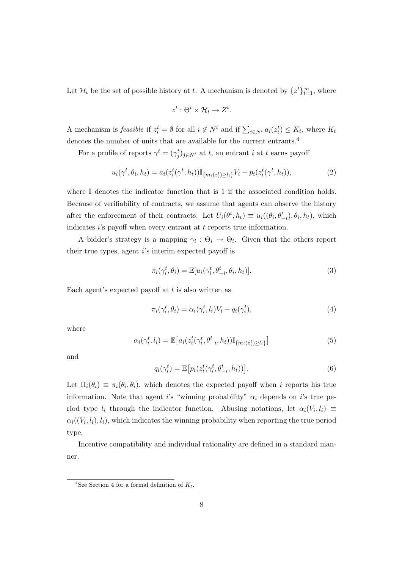Let  $\mathcal{H}_t$  be the set of possible history at *t*. A mechanism is denoted by  $\{z^t\}_{t=1}^{\infty}$ , where

$$
z^t: \Theta^t \times \mathcal{H}_t \to Z^t.
$$

A mechanism is *feasible* if  $z_i^t = \emptyset$  for all  $i \notin N^t$  and if  $\sum_{i \in N^t} a_i(z_i^t) \leq K_t$ , where  $K_t$ denotes the number of units that are available for the current entrants.<sup>4</sup>

For a profile of reports  $\gamma^t = (\gamma^t_j)_{j \in N^t}$  at *t*, an entrant *i* at *t* earns payoff

$$
u_i(\gamma^t, \theta_i, h_t) = a_i(z_i^t(\gamma^t, h_t)) \mathbb{I}_{\{m_i(z_i^t) \ge l_i\}} V_i - p_i(z_i^t(\gamma^t, h_t)),
$$
\n(2)

where  $\mathbb I$  denotes the indicator function that is 1 if the associated condition holds. Because of verifiability of contracts, we assume that agents can observe the history after the enforcement of their contracts. Let  $U_i(\theta^t, h_t) \equiv u_i((\theta_i, \theta^t_{-i}), \theta_i, h_t)$ , which indicates *i*'s payoff when every entrant at *t* reports true information.

A bidder's strategy is a mapping  $\gamma_i : \Theta_i \to \Theta_i$ . Given that the others report their true types, agent *i*'s interim expected payoff is

$$
\pi_i(\gamma_i^t, \theta_i) = \mathbb{E}[u_i(\gamma_i^t, \theta_{-i}^t, \theta_i, h_t)].
$$
\n(3)

Each agent's expected payoff at *t* is also written as

$$
\pi_i(\gamma_i^t, \theta_i) = \alpha_i(\gamma_i^t, l_i)V_i - q_i(\gamma_i^t), \tag{4}
$$

where

$$
\alpha_i(\gamma_i^t, l_i) = \mathbb{E}\big[a_i(z_i^t(\gamma_i^t, \theta_{-i}^t, h_t))\mathbb{I}_{\{m_i(z_i^t) \ge l_i\}}\big] \tag{5}
$$

and

$$
q_i(\gamma_i^t) = \mathbb{E}\big[p_i(z_i^t(\gamma_i^t, \theta_{-i}^t, h_t))\big].\tag{6}
$$

Let  $\Pi_i(\theta_i) \equiv \pi_i(\theta_i, \theta_i)$ , which denotes the expected payoff when *i* reports his true information. Note that agent *i*'s "winning probability"  $\alpha_i$  depends on *i*'s true period type  $l_i$  through the indicator function. Abusing notations, let  $\alpha_i(V_i, l_i) \equiv$  $\alpha_i((V_i, l_i), l_i)$ , which indicates the winning probability when reporting the true period type.

Incentive compatibility and individual rationality are defined in a standard manner.

<sup>&</sup>lt;sup>4</sup>See Section 4 for a formal definition of  $K_t$ .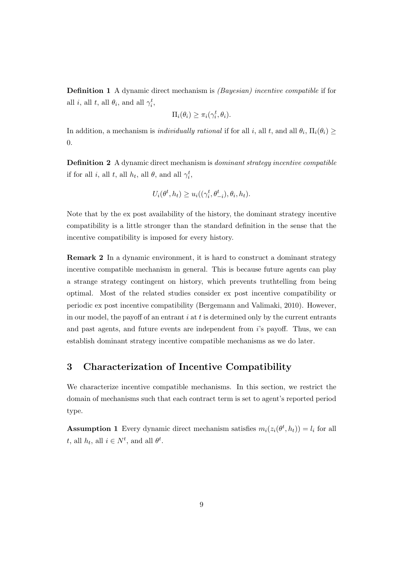**Definition 1** A dynamic direct mechanism is *(Bayesian) incentive compatible* if for all *i*, all *t*, all  $\theta_i$ , and all  $\gamma_i^t$ ,

$$
\Pi_i(\theta_i) \geq \pi_i(\gamma_i^t, \theta_i).
$$

In addition, a mechanism is *individually rational* if for all *i*, all *t*, and all  $\theta_i$ ,  $\Pi_i(\theta_i) \ge$ 0.

**Definition 2** A dynamic direct mechanism is *dominant strategy incentive compatible* if for all *i*, all *h*<sub>*t*</sub>, all *θ*, and all  $\gamma_i^t$ ,

$$
U_i(\theta^t, h_t) \ge u_i((\gamma_i^t, \theta_{-i}^t), \theta_i, h_t).
$$

Note that by the ex post availability of the history, the dominant strategy incentive compatibility is a little stronger than the standard definition in the sense that the incentive compatibility is imposed for every history.

**Remark 2** In a dynamic environment, it is hard to construct a dominant strategy incentive compatible mechanism in general. This is because future agents can play a strange strategy contingent on history, which prevents truthtelling from being optimal. Most of the related studies consider ex post incentive compatibility or periodic ex post incentive compatibility (Bergemann and Valimaki, 2010). However, in our model, the payoff of an entrant *i* at *t* is determined only by the current entrants and past agents, and future events are independent from *i*'s payoff. Thus, we can establish dominant strategy incentive compatible mechanisms as we do later.

# **3 Characterization of Incentive Compatibility**

We characterize incentive compatible mechanisms. In this section, we restrict the domain of mechanisms such that each contract term is set to agent's reported period type.

**Assumption 1** Every dynamic direct mechanism satisfies  $m_i(z_i(\theta^t, h_t)) = l_i$  for all *t*, all  $h_t$ , all  $i \in N^t$ , and all  $\theta^t$ .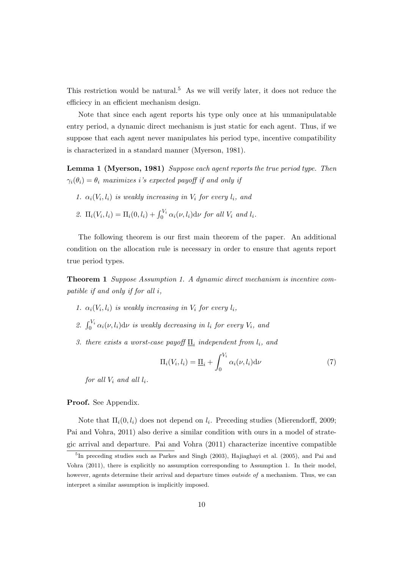This restriction would be natural.<sup>5</sup> As we will verify later, it does not reduce the efficiecy in an efficient mechanism design.

Note that since each agent reports his type only once at his unmanipulatable entry period, a dynamic direct mechanism is just static for each agent. Thus, if we suppose that each agent never manipulates his period type, incentive compatibility is characterized in a standard manner (Myerson, 1981).

**Lemma 1 (Myerson, 1981)** *Suppose each agent reports the true period type. Then*  $\gamma_i(\theta_i) = \theta_i$  *maximizes i*'s expected payoff if and only if

*1.*  $\alpha_i(V_i, l_i)$  *is weakly increasing in*  $V_i$  *for every*  $l_i$ *, and* 

2. 
$$
\Pi_i(V_i, l_i) = \Pi_i(0, l_i) + \int_0^{V_i} \alpha_i(\nu, l_i) d\nu
$$
 for all  $V_i$  and  $l_i$ .

The following theorem is our first main theorem of the paper. An additional condition on the allocation rule is necessary in order to ensure that agents report true period types.

**Theorem 1** *Suppose Assumption 1. A dynamic direct mechanism is incentive compatible if and only if for all i,*

- *1.*  $\alpha_i(V_i, l_i)$  *is weakly increasing in*  $V_i$  *for every*  $l_i$ *,*
- 2.  $\int_0^{V_i} \alpha_i(\nu, l_i) d\nu$  *is weakly decreasing in*  $l_i$  *for every*  $V_i$ *, and*
- *3. there exists a worst-case payoff*  $\mathbf{I}$ <sub>*i*</sub> *independent from*  $l_i$ *, and*

$$
\Pi_i(V_i, l_i) = \underline{\Pi}_i + \int_0^{V_i} \alpha_i(\nu, l_i) d\nu \tag{7}
$$

*for all*  $V_i$  *and all*  $l_i$ *.* 

**Proof.** See Appendix.

Note that Π*i*(0*, li*) does not depend on *l<sup>i</sup>* . Preceding studies (Mierendorff, 2009; Pai and Vohra, 2011) also derive a similar condition with ours in a model of strategic arrival and departure. Pai and Vohra (2011) characterize incentive compatible

<sup>&</sup>lt;sup>5</sup>In preceding studies such as Parkes and Singh (2003), Hajiaghayi et al. (2005), and Pai and Vohra (2011), there is explicitly no assumption corresponding to Assumption 1. In their model, however, agents determine their arrival and departure times *outside of* a mechanism. Thus, we can interpret a similar assumption is implicitly imposed.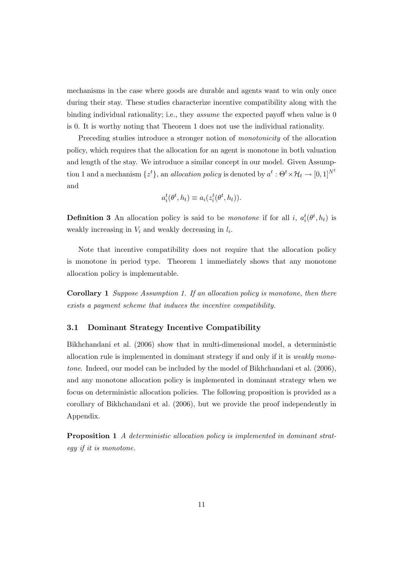mechanisms in the case where goods are durable and agents want to win only once during their stay. These studies characterize incentive compatibility along with the binding individual rationality; i.e., they *assume* the expected payoff when value is 0 is 0. It is worthy noting that Theorem 1 does not use the individual rationality.

Preceding studies introduce a stronger notion of *monotonicity* of the allocation policy, which requires that the allocation for an agent is monotone in both valuation and length of the stay. We introduce a similar concept in our model. Given Assumption 1 and a mechanism  $\{z^t\}$ , an *allocation policy* is denoted by  $a^t : \Theta^t \times \mathcal{H}_t \to [0, 1]^{N^t}$ and

$$
a_i^t(\theta^t, h_t) \equiv a_i(z_i^t(\theta^t, h_t)).
$$

**Definition 3** An allocation policy is said to be *monotone* if for all *i*,  $a_i^t(\theta^t, h_t)$  is weakly increasing in  $V_i$  and weakly decreasing in  $l_i$ .

Note that incentive compatibility does not require that the allocation policy is monotone in period type. Theorem 1 immediately shows that any monotone allocation policy is implementable.

**Corollary 1** *Suppose Assumption 1. If an allocation policy is monotone, then there exists a payment scheme that induces the incentive compatibility.*

### **3.1 Dominant Strategy Incentive Compatibility**

Bikhchandani et al. (2006) show that in multi-dimensional model, a deterministic allocation rule is implemented in dominant strategy if and only if it is *weakly monotone*. Indeed, our model can be included by the model of Bikhchandani et al. (2006), and any monotone allocation policy is implemented in dominant strategy when we focus on deterministic allocation policies. The following proposition is provided as a corollary of Bikhchandani et al. (2006), but we provide the proof independently in Appendix.

**Proposition 1** *A deterministic allocation policy is implemented in dominant strategy if it is monotone.*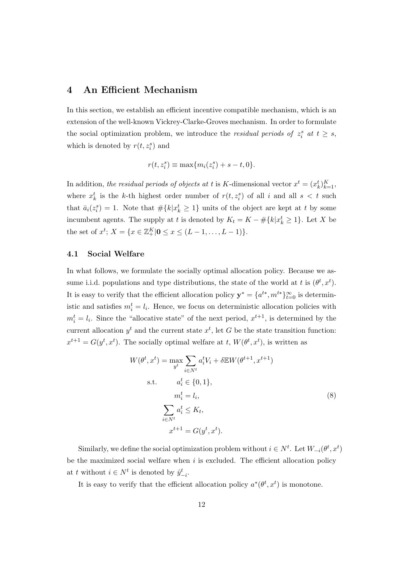# **4 An Efficient Mechanism**

In this section, we establish an efficient incentive compatible mechanism, which is an extension of the well-known Vickrey-Clarke-Groves mechanism. In order to formulate the social optimization problem, we introduce the *residual periods of*  $z_i^s$  at  $t \geq s$ , which is denoted by  $r(t, z_i^s)$  and

$$
r(t, z_i^s) \equiv \max\{m_i(z_i^s) + s - t, 0\}.
$$

In addition, *the residual periods of objects at t* is *K*-dimensional vector  $x^t = (x_k^t)_{k=1}^K$ , where  $x_k^t$  is the *k*-th highest order number of  $r(t, z_i^s)$  of all *i* and all  $s < t$  such that  $\bar{a}_i(z_i^s) = 1$ . Note that  $\#\{k | x_k^t \geq 1\}$  units of the object are kept at *t* by some incumbent agents. The supply at *t* is denoted by  $K_t = K - \# \{k | x_k^t \geq 1\}$ . Let *X* be the set of  $x^t$ ;  $X = \{x \in \mathbb{Z}_+^K | \mathbf{0} \le x \le (L - 1, \dots, L - 1) \}.$ 

### **4.1 Social Welfare**

In what follows, we formulate the socially optimal allocation policy. Because we assume i.i.d. populations and type distributions, the state of the world at *t* is  $(\theta^t, x^t)$ . It is easy to verify that the efficient allocation policy  $y^* = \{a^{t*}, m^{t*}\}_{t=0}^{\infty}$  is deterministic and satisfies  $m_i^t = l_i$ . Hence, we focus on deterministic allocation policies with  $m_i^t = l_i$ . Since the "allocative state" of the next period,  $x^{t+1}$ , is determined by the current allocation  $y^t$  and the current state  $x^t$ , let *G* be the state transition function:  $x^{t+1} = G(y^t, x^t)$ . The socially optimal welfare at *t*,  $W(\theta^t, x^t)$ , is written as

$$
W(\theta^t, x^t) = \max_{y^t} \sum_{i \in N^t} a_i^t V_i + \delta \mathbb{E} W(\theta^{t+1}, x^{t+1})
$$
  
s.t. 
$$
a_i^t \in \{0, 1\},
$$

$$
m_i^t = l_i,
$$

$$
\sum_{i \in N^t} a_i^t \le K_t,
$$

$$
x^{t+1} = G(y^t, x^t).
$$

$$
(8)
$$

Similarly, we define the social optimization problem without  $i \in N^t$ . Let  $W_{-i}(\theta^t, x^t)$ be the maximized social welfare when *i* is excluded. The efficient allocation policy at *t* without  $i \in N^t$  is denoted by  $\hat{y}_{-i}^t$ .

It is easy to verify that the efficient allocation policy  $a^*(\theta^t, x^t)$  is monotone.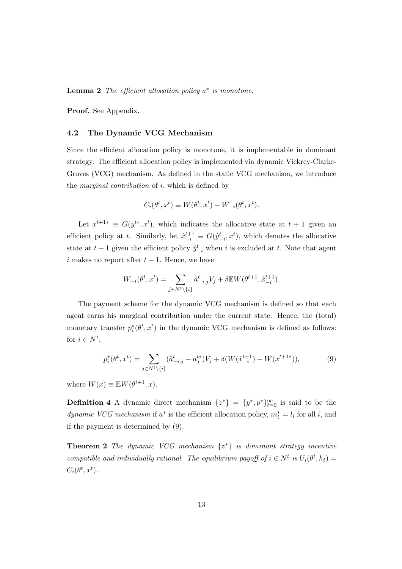**Lemma 2** *The efficient allocation policy a ∗ is monotone.*

**Proof.** See Appendix.

### **4.2 The Dynamic VCG Mechanism**

Since the efficient allocation policy is monotone, it is implementable in dominant strategy. The efficient allocation policy is implemented via dynamic Vickrey-Clarke-Groves (VCG) mechanism. As defined in the static VCG mechanism, we introduce the *marginal contribution* of *i*, which is defined by

$$
C_i(\theta^t, x^t) \equiv W(\theta^t, x^t) - W_{-i}(\theta^t, x^t).
$$

Let  $x^{t+1*} \equiv G(y^{t*}, x^t)$ , which indicates the allocative state at  $t+1$  given an efficient policy at *t*. Similarly, let  $\hat{x}_{-i}^{t+1} \equiv G(\hat{y}_{-i}^t, x^t)$ , which denotes the allocative state at  $t + 1$  given the efficient policy  $\hat{y}_{-i}^t$  when *i* is excluded at *t*. Note that agent  $i$  makes no report after  $t + 1$ . Hence, we have

$$
W_{-i}(\theta^t, x^t) = \sum_{j \in N^t \backslash \{i\}} \hat{a}^t_{-i,j} V_j + \delta \mathbb{E} W(\theta^{t+1}, \hat{x}^{t+1}_{-i}).
$$

The payment scheme for the dynamic VCG mechanism is defined so that each agent earns his marginal contribution under the current state. Hence, the (total) monetary transfer  $p_i^*(\theta^t, x^t)$  in the dynamic VCG mechanism is defined as follows: for  $i \in N^t$ ,

$$
p_i^*(\theta^t, x^t) = \sum_{j \in N^t \setminus \{i\}} (\hat{a}_{-i,j}^t - a_j^{t*})V_j + \delta(W(\hat{x}_{-i}^{t+1}) - W(x^{t+1*})),\tag{9}
$$

where  $W(x) \equiv \mathbb{E}W(\theta^{t+1}, x)$ .

**Definition 4** A dynamic direct mechanism  $\{z^*\} = \{y^*, p^*\}_{t=0}^\infty$  is said to be the *dynamic VCG mechanism* if  $a^*$  is the efficient allocation policy,  $m_i^* = l_i$  for all *i*, and if the payment is determined by (9).

**Theorem 2** *The dynamic VCG mechanism {z <sup>∗</sup>} is dominant strategy incentive compatible and individually rational. The equilibrium payoff of*  $i \in N^t$  *is*  $U_i(\theta^t, h_t) =$  $C_i(\theta^t, x^t)$ .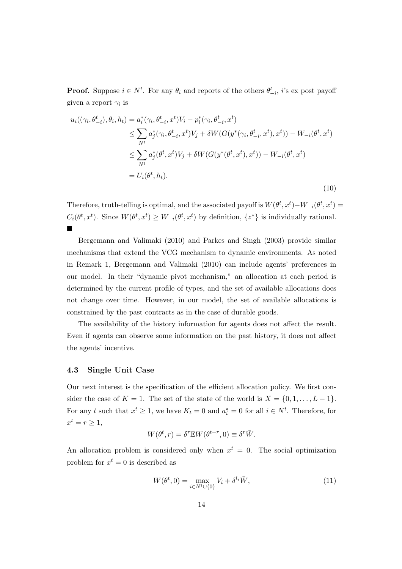**Proof.** Suppose  $i \in N^t$ . For any  $\theta_i$  and reports of the others  $\theta^t_{-i}$ , *i*'s ex post payoff given a report *γ<sup>i</sup>* is

$$
u_i((\gamma_i, \theta_{-i}^t), \theta_i, h_t) = a_i^*(\gamma_i, \theta_{-i}^t, x^t) V_i - p_i^*(\gamma_i, \theta_{-i}^t, x^t) \n\leq \sum_{N^t} a_j^*(\gamma_i, \theta_{-i}^t, x^t) V_j + \delta W(G(y^*(\gamma_i, \theta_{-i}^t, x^t), x^t)) - W_{-i}(\theta^t, x^t) \n\leq \sum_{N^t} a_j^*(\theta^t, x^t) V_j + \delta W(G(y^*(\theta^t, x^t), x^t)) - W_{-i}(\theta^t, x^t) \n= U_i(\theta^t, h_t).
$$
\n(10)

Therefore, truth-telling is optimal, and the associated payoff is  $W(\theta^t, x^t) - W_{-i}(\theta^t, x^t) =$  $C_i(\theta^t, x^t)$ . Since  $W(\theta^t, x^t) \ge W_{-i}(\theta^t, x^t)$  by definition,  $\{z^*\}$  is individually rational. ¥

Bergemann and Valimaki (2010) and Parkes and Singh (2003) provide similar mechanisms that extend the VCG mechanism to dynamic environments. As noted in Remark 1, Bergemann and Valimaki (2010) can include agents' preferences in our model. In their "dynamic pivot mechanism," an allocation at each period is determined by the current profile of types, and the set of available allocations does not change over time. However, in our model, the set of available allocations is constrained by the past contracts as in the case of durable goods.

The availability of the history information for agents does not affect the result. Even if agents can observe some information on the past history, it does not affect the agents' incentive.

#### **4.3 Single Unit Case**

Our next interest is the specification of the efficient allocation policy. We first consider the case of  $K = 1$ . The set of the state of the world is  $X = \{0, 1, \ldots, L-1\}$ . For any *t* such that  $x^t \geq 1$ , we have  $K_t = 0$  and  $a_i^* = 0$  for all  $i \in N^t$ . Therefore, for  $x^t = r \geq 1$ ,

$$
W(\theta^t, r) = \delta^r \mathbb{E} W(\theta^{t+r}, 0) \equiv \delta^r \overline{W}.
$$

An allocation problem is considered only when  $x^t = 0$ . The social optimization problem for  $x^t = 0$  is described as

$$
W(\theta^t, 0) = \max_{i \in N^t \cup \{0\}} V_i + \delta^{l_i} \bar{W},\tag{11}
$$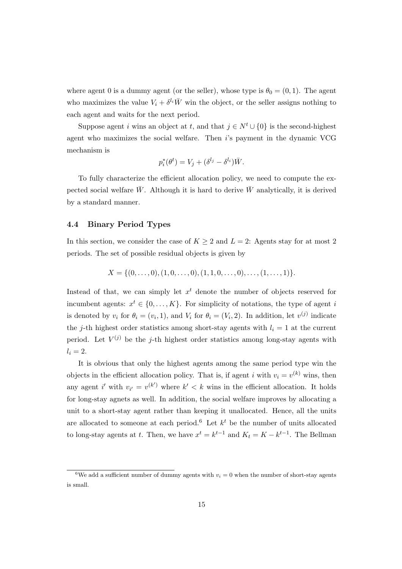where agent 0 is a dummy agent (or the seller), whose type is  $\theta_0 = (0, 1)$ . The agent who maximizes the value  $V_i + \delta^{l_i} \overline{W}$  win the object, or the seller assigns nothing to each agent and waits for the next period.

Suppose agent *i* wins an object at *t*, and that  $j \in N^t \cup \{0\}$  is the second-highest agent who maximizes the social welfare. Then *i*'s payment in the dynamic VCG mechanism is

$$
p_i^*(\theta^t) = V_j + (\delta^{l_j} - \delta^{l_i})\overline{W}.
$$

To fully characterize the efficient allocation policy, we need to compute the expected social welfare  $\bar{W}$ . Although it is hard to derive  $\bar{W}$  analytically, it is derived by a standard manner.

### **4.4 Binary Period Types**

In this section, we consider the case of  $K \geq 2$  and  $L = 2$ : Agents stay for at most 2 periods. The set of possible residual objects is given by

$$
X = \{(0, \ldots, 0), (1, 0, \ldots, 0), (1, 1, 0, \ldots, 0), \ldots, (1, \ldots, 1)\}.
$$

Instead of that, we can simply let  $x<sup>t</sup>$  denote the number of objects reserved for incumbent agents:  $x^t \in \{0, \ldots, K\}$ . For simplicity of notations, the type of agent *i* is denoted by  $v_i$  for  $\theta_i = (v_i, 1)$ , and  $V_i$  for  $\theta_i = (V_i, 2)$ . In addition, let  $v^{(j)}$  indicate the *j*-th highest order statistics among short-stay agents with  $l_i = 1$  at the current period. Let  $V^{(j)}$  be the *j*-th highest order statistics among long-stay agents with  $l_i = 2$ .

It is obvious that only the highest agents among the same period type win the objects in the efficient allocation policy. That is, if agent *i* with  $v_i = v^{(k)}$  wins, then any agent *i*' with  $v_{i'} = v^{(k')}$  where  $k' < k$  wins in the efficient allocation. It holds for long-stay agnets as well. In addition, the social welfare improves by allocating a unit to a short-stay agent rather than keeping it unallocated. Hence, all the units are allocated to someone at each period.<sup>6</sup> Let  $k^t$  be the number of units allocated to long-stay agents at *t*. Then, we have  $x^t = k^{t-1}$  and  $K_t = K - k^{t-1}$ . The Bellman

<sup>&</sup>lt;sup>6</sup>We add a sufficient number of dummy agents with  $v_i = 0$  when the number of short-stay agents is small.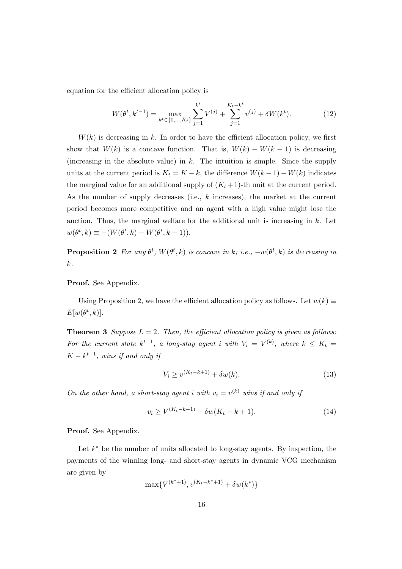equation for the efficient allocation policy is

$$
W(\theta^t, k^{t-1}) = \max_{k^t \in \{0, \dots, K_t\}} \sum_{j=1}^{k^t} V^{(j)} + \sum_{j=1}^{K_t - k^t} v^{(j)} + \delta W(k^t). \tag{12}
$$

 $W(k)$  is decreasing in k. In order to have the efficient allocation policy, we first show that  $W(k)$  is a concave function. That is,  $W(k) - W(k-1)$  is decreasing (increasing in the absolute value) in *k*. The intuition is simple. Since the supply units at the current period is  $K_t = K - k$ , the difference  $W(k-1) - W(k)$  indicates the marginal value for an additional supply of  $(K_t + 1)$ -th unit at the current period. As the number of supply decreases (i.e., *k* increases), the market at the current period becomes more competitive and an agent with a high value might lose the auction. Thus, the marginal welfare for the additional unit is increasing in *k*. Let  $w(\theta^t, k) \equiv -(W(\theta^t, k) - W(\theta^t, k - 1)).$ 

**Proposition 2** For any  $\theta^t$ ,  $W(\theta^t, k)$  is concave in k; i.e.,  $-w(\theta^t, k)$  is decreasing in *k.*

**Proof.** See Appendix.

Using Proposition 2, we have the efficient allocation policy as follows. Let  $w(k) \equiv$  $E[w(\theta^t, k)].$ 

**Theorem 3** *Suppose*  $L = 2$ *. Then, the efficient allocation policy is given as follows: For the current state*  $k^{t-1}$ , a long-stay agent *i* with  $V_i = V^{(k)}$ , where  $k \leq K_t$  $K - k^{t-1}$ , wins if and only if

$$
V_i \ge v^{(K_t - k + 1)} + \delta w(k). \tag{13}
$$

*On the other hand, a short-stay agent <i>i* with  $v_i = v^{(k)}$  wins if and only if

$$
v_i \ge V^{(K_t - k + 1)} - \delta w(K_t - k + 1). \tag{14}
$$

**Proof.** See Appendix.

Let *k <sup>∗</sup>* be the number of units allocated to long-stay agents. By inspection, the payments of the winning long- and short-stay agents in dynamic VCG mechanism are given by

$$
\max\{V^{(k^*+1)}, v^{(K_t-k^*+1)} + \delta w(k^*)\}
$$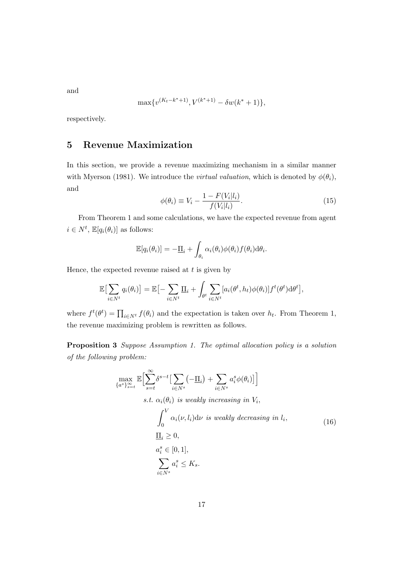and

$$
\max\{v^{(K_t-k^*+1)}, V^{(k^*+1)} - \delta w(k^*+1)\},\
$$

respectively.

# **5 Revenue Maximization**

In this section, we provide a revenue maximizing mechanism in a similar manner with Myerson (1981). We introduce the *virtual valuation*, which is denoted by  $\phi(\theta_i)$ , and

$$
\phi(\theta_i) \equiv V_i - \frac{1 - F(V_i|l_i)}{f(V_i|l_i)}.\tag{15}
$$

From Theorem 1 and some calculations, we have the expected revenue from agent  $i \in N^t$ ,  $\mathbb{E}[q_i(\theta_i)]$  as follows:

$$
\mathbb{E}[q_i(\theta_i)] = -\underline{\Pi}_i + \int_{\theta_i} \alpha_i(\theta_i) \phi(\theta_i) f(\theta_i) \mathrm{d}\theta_i.
$$

Hence, the expected revenue raised at *t* is given by

$$
\mathbb{E}\big[\sum_{i\in N^t} q_i(\theta_i)\big] = \mathbb{E}\big[-\sum_{i\in N^t} \underline{\Pi}_i + \int_{\theta^t} \sum_{i\in N^t} [a_i(\theta^t, h_t) \phi(\theta_i)] f^t(\theta^t) d\theta^t\big],
$$

where  $f^t(\theta^t) = \prod_{i \in N^t} f(\theta_i)$  and the expectation is taken over  $h_t$ . From Theorem 1, the revenue maximizing problem is rewritten as follows.

**Proposition 3** *Suppose Assumption 1. The optimal allocation policy is a solution of the following problem:*

$$
\max_{\{a^s\}_{s=t}^{\infty}} \mathbb{E} \Big[ \sum_{s=t}^{\infty} \delta^{s-t} \Big[ \sum_{i \in N^s} (-\underline{\Pi}_i) + \sum_{i \in N^s} a_i^s \phi(\theta_i) \Big] \Big] \ns.t. \alpha_i(\theta_i) \text{ is weakly increasing in } V_i, \n\int_0^V \alpha_i(\nu, l_i) d\nu \text{ is weakly decreasing in } l_i, \n\underline{\Pi}_i \ge 0, \na_i^s \in [0, 1], \n\sum_{i \in N^s} a_i^s \le K_s.
$$
\n(16)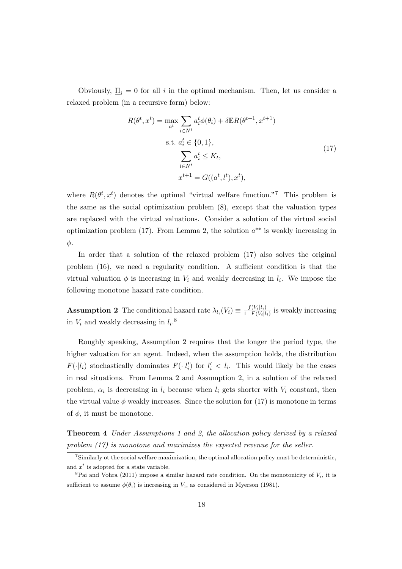Obviously,  $\underline{\Pi}_i = 0$  for all *i* in the optimal mechanism. Then, let us consider a relaxed problem (in a recursive form) below:

$$
R(\theta^t, x^t) = \max_{a^t} \sum_{i \in N^t} a_i^t \phi(\theta_i) + \delta \mathbb{E} R(\theta^{t+1}, x^{t+1})
$$
  
s.t.  $a_i^t \in \{0, 1\},$   

$$
\sum_{i \in N^t} a_i^t \le K_t,
$$
  

$$
x^{t+1} = G((a^t, l^t), x^t),
$$
 (17)

where  $R(\theta^t, x^t)$  denotes the optimal "virtual welfare function."<sup>7</sup> This problem is the same as the social optimization problem (8), except that the valuation types are replaced with the virtual valuations. Consider a solution of the virtual social optimization problem (17). From Lemma 2, the solution *a ∗∗* is weakly increasing in *φ*.

In order that a solution of the relaxed problem (17) also solves the original problem (16), we need a regularity condition. A sufficient condition is that the virtual valuation  $\phi$  is incerasing in  $V_i$  and weakly decreasing in  $l_i$ . We impose the following monotone hazard rate condition.

**Assumption 2** The conditional hazard rate  $\lambda_{l_i}(V_i) \equiv \frac{f(V_i|l_i)}{1 - F(V_i|l_i)}$  $\frac{J(V_i|l_i)}{1-F(V_i|l_i)}$  is weakly increasing in  $V_i$  and weakly decreasing in  $l_i$ <sup>8</sup>

Roughly speaking, Assumption 2 requires that the longer the period type, the higher valuation for an agent. Indeed, when the assumption holds, the distribution *F*(*·*|*l*<sub>*i*</sub>) stochastically dominates  $F(\cdot | l'_i)$  for  $l'_i < l_i$ . This would likely be the cases in real situations. From Lemma 2 and Assumption 2, in a solution of the relaxed problem,  $\alpha_i$  is decreasing in  $l_i$  because when  $l_i$  gets shorter with  $V_i$  constant, then the virtual value  $\phi$  weakly increases. Since the solution for  $(17)$  is monotone in terms of  $\phi$ , it must be monotone.

**Theorem 4** *Under Assumptions 1 and 2, the allocation policy derived by a relaxed problem (17) is monotone and maximizes the expected revenue for the seller.*

<sup>7</sup>Similarly ot the social welfare maximization, the optimal allocation policy must be deterministic, and  $x^t$  is adopted for a state variable.

<sup>&</sup>lt;sup>8</sup>Pai and Vohra (2011) impose a similar hazard rate condition. On the monotonicity of  $V_i$ , it is sufficient to assume  $\phi(\theta_i)$  is increasing in  $V_i$ , as considered in Myerson (1981).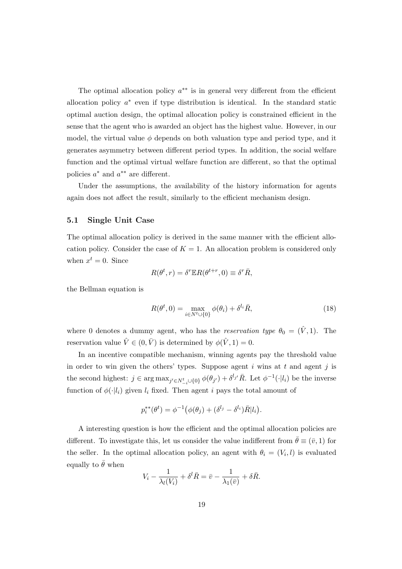The optimal allocation policy *a ∗∗* is in general very different from the efficient allocation policy  $a^*$  even if type distribution is identical. In the standard static optimal auction design, the optimal allocation policy is constrained efficient in the sense that the agent who is awarded an object has the highest value. However, in our model, the virtual value  $\phi$  depends on both valuation type and period type, and it generates asymmetry between different period types. In addition, the social welfare function and the optimal virtual welfare function are different, so that the optimal policies *a <sup>∗</sup>* and *a ∗∗* are different.

Under the assumptions, the availability of the history information for agents again does not affect the result, similarly to the efficient mechanism design.

### **5.1 Single Unit Case**

The optimal allocation policy is derived in the same manner with the efficient allocation policy. Consider the case of  $K = 1$ . An allocation problem is considered only when  $x^t = 0$ . Since

$$
R(\theta^t, r) = \delta^r \mathbb{E} R(\theta^{t+r}, 0) \equiv \delta^r \bar{R},
$$

the Bellman equation is

$$
R(\theta^t, 0) = \max_{i \in N^t \cup \{0\}} \phi(\theta_i) + \delta^{l_i} \bar{R},\tag{18}
$$

where 0 denotes a dummy agent, who has the *reservation type*  $\theta_0 = (\hat{V}, 1)$ . The reservation value  $\hat{V} \in (0, \bar{V})$  is determined by  $\phi(\hat{V}, 1) = 0$ .

In an incentive compatible mechanism, winning agents pay the threshold value in order to win given the others' types. Suppose agent *i* wins at *t* and agent *j* is the second highest:  $j \in \arg \max_{j' \in N_{-i}^t \cup \{0\}} \phi(\theta_{j'}) + \delta^{l_{j'}} \overline{R}$ . Let  $\phi^{-1}(\cdot|l_i)$  be the inverse function of  $\phi(\cdot|l_i)$  given  $l_i$  fixed. Then agent *i* pays the total amount of

$$
p_i^{**}(\theta^t) = \phi^{-1}(\phi(\theta_j) + (\delta^{l_j} - \delta^{l_i})\overline{R}|l_i).
$$

A interesting question is how the efficient and the optimal allocation policies are different. To investigate this, let us consider the value indifferent from  $\bar{\theta} \equiv (\bar{v}, 1)$  for the seller. In the optimal allocation policy, an agent with  $\theta_i = (V_i, l)$  is evaluated equally to  $\bar{\theta}$  when

$$
V_i - \frac{1}{\lambda_l(V_i)} + \delta^l \bar{R} = \bar{v} - \frac{1}{\lambda_1(\bar{v})} + \delta \bar{R}.
$$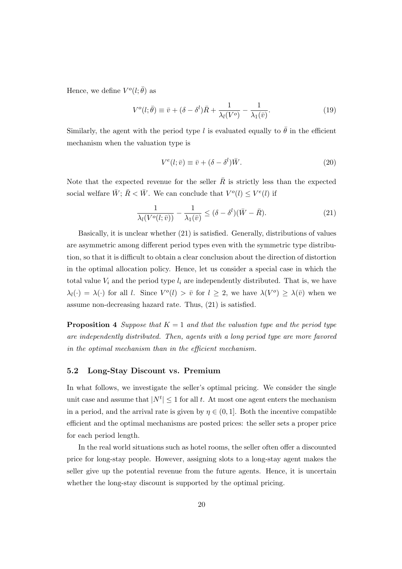Hence, we define  $V^o(l; \bar{\theta})$  as

$$
V^{o}(l; \bar{\theta}) \equiv \bar{v} + (\delta - \delta^{l})\bar{R} + \frac{1}{\lambda_{l}(V^{o})} - \frac{1}{\lambda_{1}(\bar{v})}.
$$
\n(19)

Similarly, the agent with the period type *l* is evaluated equally to  $\bar{\theta}$  in the efficient mechanism when the valuation type is

$$
V^{e}(l; \bar{v}) \equiv \bar{v} + (\delta - \delta^{l})\bar{W}.
$$
\n(20)

Note that the expected revenue for the seller  $\bar{R}$  is strictly less than the expected social welfare  $\overline{W}$ ;  $\overline{R}$  <  $\overline{W}$ . We can conclude that  $V^o(l) \leq V^e(l)$  if

$$
\frac{1}{\lambda_l(V^o(l;\bar{v}))} - \frac{1}{\lambda_1(\bar{v})} \le (\delta - \delta^l)(\bar{W} - \bar{R}).\tag{21}
$$

Basically, it is unclear whether (21) is satisfied. Generally, distributions of values are asymmetric among different period types even with the symmetric type distribution, so that it is difficult to obtain a clear conclusion about the direction of distortion in the optimal allocation policy. Hence, let us consider a special case in which the total value  $V_i$  and the period type  $l_i$  are independently distributed. That is, we have  $\lambda_l(\cdot) = \lambda(\cdot)$  for all *l*. Since  $V^o(l) > \bar{v}$  for  $l \geq 2$ , we have  $\lambda(V^o) \geq \lambda(\bar{v})$  when we assume non-decreasing hazard rate. Thus, (21) is satisfied.

**Proposition 4** *Suppose that*  $K = 1$  *and that the valuation type and the period type are independently distributed. Then, agents with a long period type are more favored in the optimal mechanism than in the efficient mechanism.*

### **5.2 Long-Stay Discount vs. Premium**

In what follows, we investigate the seller's optimal pricing. We consider the single unit case and assume that  $|N^t| \leq 1$  for all *t*. At most one agent enters the mechanism in a period, and the arrival rate is given by  $\eta \in (0,1]$ . Both the incentive compatible efficient and the optimal mechanisms are posted prices: the seller sets a proper price for each period length.

In the real world situations such as hotel rooms, the seller often offer a discounted price for long-stay people. However, assigning slots to a long-stay agent makes the seller give up the potential revenue from the future agents. Hence, it is uncertain whether the long-stay discount is supported by the optimal pricing.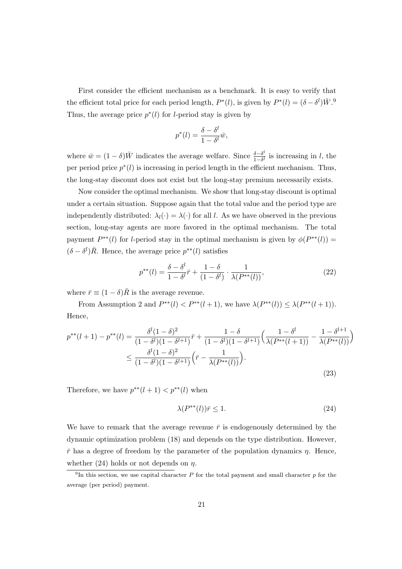First consider the efficient mechanism as a benchmark. It is easy to verify that the efficient total price for each period length,  $P^*(l)$ , is given by  $P^*(l) = (\delta - \delta^l)\bar{W}$ .<sup>9</sup> Thus, the average price  $p^*(l)$  for *l*-period stay is given by

$$
p^*(l) = \frac{\delta - \delta^l}{1 - \delta^l} \bar{w},
$$

where  $\bar{w} = (1 - \delta)\bar{W}$  indicates the average welfare. Since  $\frac{\delta - \delta^l}{1 - \delta^l}$  $\frac{\partial - \delta^i}{1 - \delta^l}$  is increasing in *l*, the per period price  $p^*(l)$  is increasing in period length in the efficient mechanism. Thus, the long-stay discount does not exist but the long-stay premium necessarily exists.

Now consider the optimal mechanism. We show that long-stay discount is optimal under a certain situation. Suppose again that the total value and the period type are independently distributed:  $\lambda_l(\cdot) = \lambda(\cdot)$  for all *l*. As we have observed in the previous section, long-stay agents are more favored in the optimal mechanism. The total payment  $P^{**}(l)$  for *l*-period stay in the optimal mechanism is given by  $\phi(P^{**}(l))$  =  $(\delta - \delta^l)\overline{R}$ . Hence, the average price  $p^{**}(l)$  satisfies

$$
p^{**}(l) = \frac{\delta - \delta^l}{1 - \delta^l}\bar{r} + \frac{1 - \delta}{(1 - \delta^l)} \cdot \frac{1}{\lambda(P^{**}(l))},\tag{22}
$$

where  $\bar{r} \equiv (1 - \delta)\bar{R}$  is the average revenue.

From Assumption 2 and  $P^{**}(l) < P^{**}(l+1)$ , we have  $\lambda(P^{**}(l)) \leq \lambda(P^{**}(l+1))$ . Hence,

$$
p^{**}(l+1) - p^{**}(l) = \frac{\delta^l(1-\delta)^2}{(1-\delta^l)(1-\delta^{l+1})}\bar{r} + \frac{1-\delta}{(1-\delta^l)(1-\delta^{l+1})}\left(\frac{1-\delta^l}{\lambda(P^{**}(l+1))} - \frac{1-\delta^{l+1}}{\lambda(P^{**}(l))}\right)
$$
  

$$
\leq \frac{\delta^l(1-\delta)^2}{(1-\delta^l)(1-\delta^{l+1})}\left(\bar{r} - \frac{1}{\lambda(P^{**}(l))}\right).
$$
 (23)

Therefore, we have  $p^{**}(l+1) < p^{**}(l)$  when

$$
\lambda(P^{**}(l))\bar{r} \le 1. \tag{24}
$$

We have to remark that the average revenue  $\bar{r}$  is endogenously determined by the dynamic optimization problem (18) and depends on the type distribution. However,  $\bar{r}$  has a degree of freedom by the parameter of the population dynamics  $\eta$ . Hence, whether (24) holds or not depends on *η*.

<sup>9</sup> In this section, we use capital character *P* for the total payment and small character *p* for the average (per period) payment.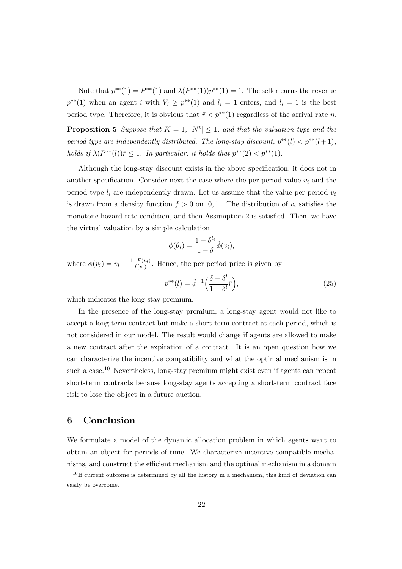Note that  $p^{**}(1) = P^{**}(1)$  and  $\lambda(P^{**}(1))p^{**}(1) = 1$ . The seller earns the revenue  $p^{**}(1)$  when an agent *i* with  $V_i \geq p^{**}(1)$  and  $l_i = 1$  enters, and  $l_i = 1$  is the best period type. Therefore, it is obvious that  $\bar{r}$  <  $p^{**}(1)$  regardless of the arrival rate  $\eta$ . **Proposition 5** *Suppose that*  $K = 1$ ,  $|N^t| \leq 1$ , and that the valuation type and the *period type are independently distributed. The long-stay discount,*  $p^{**}(l) < p^{**}(l+1)$ *, holds if*  $\lambda(P^{**}(l))\overline{r} \leq 1$ *. In particular, it holds that*  $p^{**}(2) < p^{**}(1)$ *.* 

Although the long-stay discount exists in the above specification, it does not in another specification. Consider next the case where the per period value  $v_i$  and the period type  $l_i$  are independently drawn. Let us assume that the value per period  $v_i$ is drawn from a density function  $f > 0$  on [0, 1]. The distribution of  $v_i$  satisfies the monotone hazard rate condition, and then Assumption 2 is satisfied. Then, we have the virtual valuation by a simple calculation

$$
\phi(\theta_i) = \frac{1 - \delta^{l_i}}{1 - \delta} \tilde{\phi}(v_i),
$$

where  $\tilde{\phi}(v_i) = v_i - \frac{1 - F(v_i)}{f(v_i)}$  $\frac{f(x_i)}{f(v_i)}$ . Hence, the per period price is given by

$$
p^{**}(l) = \tilde{\phi}^{-1}\left(\frac{\delta - \delta^l}{1 - \delta^l}\bar{r}\right),\tag{25}
$$

which indicates the long-stay premium.

In the presence of the long-stay premium, a long-stay agent would not like to accept a long term contract but make a short-term contract at each period, which is not considered in our model. The result would change if agents are allowed to make a new contract after the expiration of a contract. It is an open question how we can characterize the incentive compatibility and what the optimal mechanism is in such a case.<sup>10</sup> Nevertheless, long-stay premium might exist even if agents can repeat short-term contracts because long-stay agents accepting a short-term contract face risk to lose the object in a future auction.

# **6 Conclusion**

We formulate a model of the dynamic allocation problem in which agents want to obtain an object for periods of time. We characterize incentive compatible mechanisms, and construct the efficient mechanism and the optimal mechanism in a domain

 $10$ If current outcome is determined by all the history in a mechanism, this kind of deviation can easily be overcome.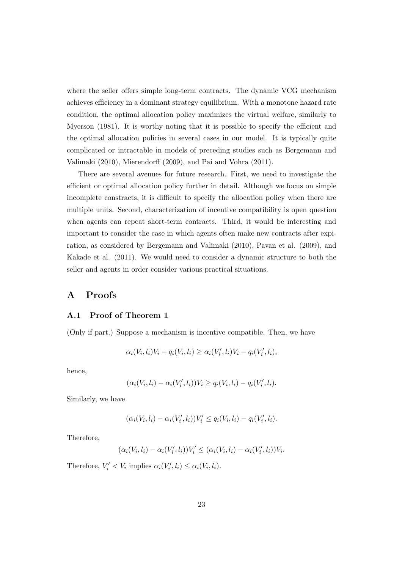where the seller offers simple long-term contracts. The dynamic VCG mechanism achieves efficiency in a dominant strategy equilibrium. With a monotone hazard rate condition, the optimal allocation policy maximizes the virtual welfare, similarly to Myerson (1981). It is worthy noting that it is possible to specify the efficient and the optimal allocation policies in several cases in our model. It is typically quite complicated or intractable in models of preceding studies such as Bergemann and Valimaki (2010), Mierendorff (2009), and Pai and Vohra (2011).

There are several avenues for future research. First, we need to investigate the efficient or optimal allocation policy further in detail. Although we focus on simple incomplete constracts, it is difficult to specify the allocation policy when there are multiple units. Second, characterization of incentive compatibility is open question when agents can repeat short-term contracts. Third, it would be interesting and important to consider the case in which agents often make new contracts after expiration, as considered by Bergemann and Valimaki (2010), Pavan et al. (2009), and Kakade et al. (2011). We would need to consider a dynamic structure to both the seller and agents in order consider various practical situations.

# **A Proofs**

### **A.1 Proof of Theorem 1**

(Only if part.) Suppose a mechanism is incentive compatible. Then, we have

$$
\alpha_i(V_i, l_i)V_i - q_i(V_i, l_i) \ge \alpha_i(V'_i, l_i)V_i - q_i(V'_i, l_i),
$$

hence,

$$
(\alpha_i(V_i, l_i) - \alpha_i(V'_i, l_i))V_i \ge q_i(V_i, l_i) - q_i(V'_i, l_i).
$$

Similarly, we have

$$
(\alpha_i(V_i, l_i) - \alpha_i(V'_i, l_i))V'_i \le q_i(V_i, l_i) - q_i(V'_i, l_i).
$$

Therefore,

$$
(\alpha_i(V_i, l_i) - \alpha_i(V'_i, l_i))V'_i \leq (\alpha_i(V_i, l_i) - \alpha_i(V'_i, l_i))V_i.
$$

Therefore,  $V_i' < V_i$  implies  $\alpha_i(V_i', l_i) \leq \alpha_i(V_i, l_i)$ .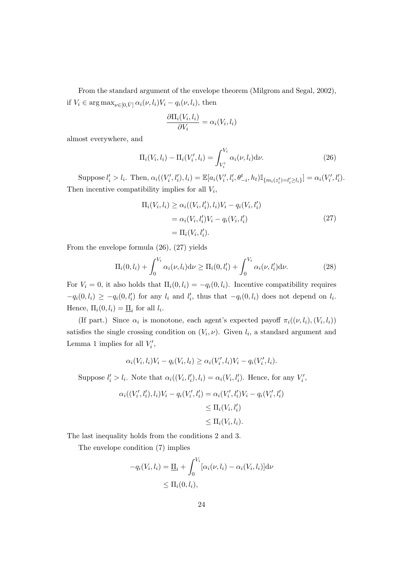From the standard argument of the envelope theorem (Milgrom and Segal, 2002), if  $V_i \in \arg \max_{\nu \in [0, \bar{V}]} \alpha_i(\nu, l_i) V_i - q_i(\nu, l_i)$ , then

$$
\frac{\partial \Pi_i(V_i, l_i)}{\partial V_i} = \alpha_i(V_i, l_i)
$$

almost everywhere, and

$$
\Pi_i(V_i, l_i) - \Pi_i(V'_i, l_i) = \int_{V'_i}^{V_i} \alpha_i(\nu, l_i) d\nu.
$$
\n(26)

Suppose  $l'_i > l_i$ . Then,  $\alpha_i((V'_i, l'_i), l_i) = \mathbb{E}[a_i(V'_i, l'_i, \theta_{-i}^t, h_t)\mathbb{I}_{\{m_i(z_i^t) = l'_i \ge l_i\}}] = \alpha_i(V'_i, l'_i)$ . Then incentive compatibility implies for all *V<sup>i</sup>* ,

$$
\Pi_i(V_i, l_i) \ge \alpha_i((V_i, l'_i), l_i)V_i - q_i(V_i, l'_i) \n= \alpha_i(V_i, l'_i)V_i - q_i(V_i, l'_i) \n= \Pi_i(V_i, l'_i).
$$
\n(27)

From the envelope formula (26), (27) yields

$$
\Pi_i(0, l_i) + \int_0^{V_i} \alpha_i(\nu, l_i) d\nu \ge \Pi_i(0, l'_i) + \int_0^{V_i} \alpha_i(\nu, l'_i) d\nu.
$$
 (28)

For  $V_i = 0$ , it also holds that  $\Pi_i(0, l_i) = -q_i(0, l_i)$ . Incentive compatibility requires  $-q_i(0, l_i) \ge -q_i(0, l'_i)$  for any  $l_i$  and  $l'_i$ , thus that  $-q_i(0, l_i)$  does not depend on  $l_i$ . Hence,  $\Pi_i(0, l_i) = \underline{\Pi}_i$  for all  $l_i$ .

(If part.) Since  $\alpha_i$  is monotone, each agent's expected payoff  $\pi_i((\nu, l_i), (V_i, l_i))$ satisfies the single crossing condition on  $(V_i, \nu)$ . Given  $l_i$ , a standard argument and Lemma 1 implies for all  $V_i'$ ,

$$
\alpha_i(V_i, l_i)V_i - q_i(V_i, l_t) \geq \alpha_i(V'_i, l_i)V_i - q_i(V'_i, l_i).
$$

Suppose  $l'_i > l_i$ . Note that  $\alpha_i((V_i, l'_i), l_i) = \alpha_i(V_i, l'_i)$ . Hence, for any  $V'_i$ ,

$$
\alpha_i((V'_i, l'_i), l_i)V_i - q_i(V'_i, l'_i) = \alpha_i(V'_i, l'_i)V_i - q_i(V'_i, l'_i) \n\leq \Pi_i(V_i, l'_i) \n\leq \Pi_i(V_i, l_i).
$$

The last inequality holds from the conditions 2 and 3.

The envelope condition (7) implies

$$
-q_i(V_i, l_i) = \underline{\Pi}_i + \int_0^{V_i} [\alpha_i(\nu, l_i) - \alpha_i(V_i, l_i)] d\nu
$$
  

$$
\leq \Pi_i(0, l_i),
$$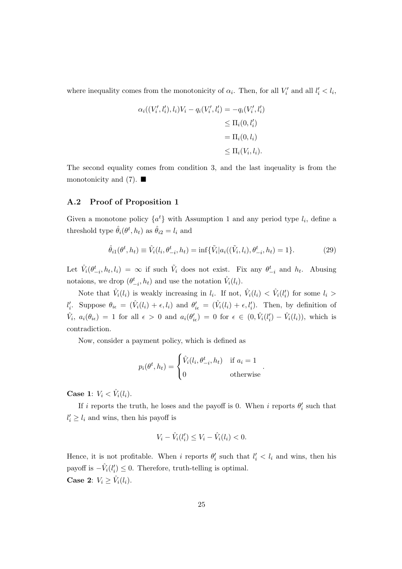where inequality comes from the monotonicity of  $\alpha_i$ . Then, for all  $V'_i$  and all  $l'_i < l_i$ ,

$$
\alpha_i((V'_i, l'_i), l_i)V_i - q_i(V'_i, l'_i) = -q_i(V'_i, l'_i)
$$
  
\n
$$
\leq \Pi_i(0, l'_i)
$$
  
\n
$$
= \Pi_i(0, l_i)
$$
  
\n
$$
\leq \Pi_i(V_i, l_i).
$$

The second equality comes from condition 3, and the last inqeuality is from the monotonicity and  $(7)$ .

### **A.2 Proof of Proposition 1**

Given a monotone policy  $\{a^t\}$  with Assumption 1 and any period type  $l_i$ , define a threshold type  $\hat{\theta}_i(\theta^t, h_t)$  as  $\hat{\theta}_{i2} = l_i$  and

$$
\hat{\theta}_{i1}(\theta^t, h_t) \equiv \hat{V}_i(l_i, \theta^t_{-i}, h_t) = \inf \{ \tilde{V}_i | a_i((\tilde{V}_i, l_i), \theta^t_{-i}, h_t) = 1 \}.
$$
\n(29)

Let  $\hat{V}_i(\theta_{-i}^t, h_t, l_i) = \infty$  if such  $\tilde{V}_i$  does not exist. Fix any  $\theta_{-i}^t$  and  $h_t$ . Abusing notaions, we drop  $(\theta^t_{-i}, h_t)$  and use the notation  $\hat{V}_i(l_i)$ .

Note that  $\hat{V}_i(l_i)$  is weakly increasing in  $l_i$ . If not,  $\hat{V}_i(l_i) < \hat{V}_i(l'_i)$  for some  $l_i >$  $l'_i$ . Suppose  $\theta_{i\epsilon} = (\hat{V}_i(l_i) + \epsilon, l_i)$  and  $\theta'_{i\epsilon} = (\hat{V}_i(l_i) + \epsilon, l'_i)$ . Then, by definition of  $\hat{V}_i, a_i(\theta_{i\epsilon}) = 1$  for all  $\epsilon > 0$  and  $a_i(\theta'_{i\epsilon}) = 0$  for  $\epsilon \in (0, \hat{V}_i(l'_i) - \hat{V}_i(l_i)),$  which is contradiction.

Now, consider a payment policy, which is defined as

$$
p_i(\theta^t, h_t) = \begin{cases} \hat{V}_i(l_i, \theta^t_{-i}, h_t) & \text{if } a_i = 1\\ 0 & \text{otherwise} \end{cases}
$$

*.*

**Case 1:**  $V_i < \hat{V}_i(l_i)$ .

If *i* reports the truth, he loses and the payoff is 0. When *i* reports  $\theta_i'$  such that  $l'_i \geq l_i$  and wins, then his payoff is

$$
V_i - \hat{V}_i(l'_i) \le V_i - \hat{V}_i(l_i) < 0.
$$

Hence, it is not profitable. When *i* reports  $\theta'_{i}$  such that  $l'_{i} < l_{i}$  and wins, then his payoff is  $-\hat{V}_i(l'_i) \leq 0$ . Therefore, truth-telling is optimal. **Case 2:**  $V_i \geq \hat{V}_i(l_i)$ .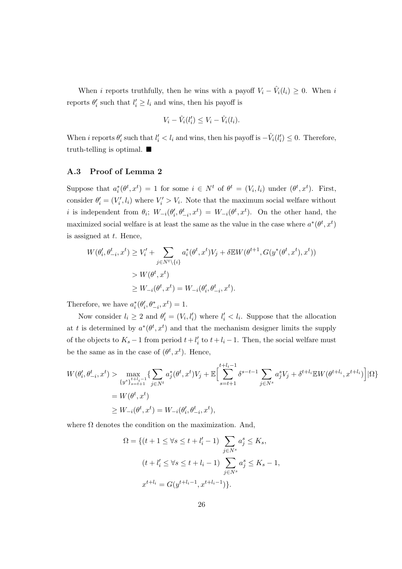When *i* reports truthfully, then he wins with a payoff  $V_i - \hat{V}_i(l_i) \geq 0$ . When *i* reports  $\theta'_i$  such that  $l'_i \geq l_i$  and wins, then his payoff is

$$
V_i - \hat{V}_i(l'_i) \le V_i - \hat{V}_i(l_i).
$$

When *i* reports  $\theta'_i$  such that  $l'_i < l_i$  and wins, then his payoff is  $-\hat{V}_i(l'_i) \leq 0$ . Therefore, truth-telling is optimal.  $\blacksquare$ 

### **A.3 Proof of Lemma 2**

Suppose that  $a_i^*(\theta^t, x^t) = 1$  for some  $i \in N^t$  of  $\theta^t = (V_i, l_i)$  under  $(\theta^t, x^t)$ . First, consider  $\theta'_{i} = (V'_{i}, l_{i})$  where  $V'_{i} > V_{i}$ . Note that the maximum social welfare without *i* is independent from  $\theta_i$ ;  $W_{-i}(\theta_i', \theta_{-i}^t, x^t) = W_{-i}(\theta_i^t, x^t)$ . On the other hand, the maximized social welfare is at least the same as the value in the case where  $a^*(\theta^t, x^t)$ is assigned at *t*. Hence,

$$
W(\theta_i', \theta_{-i}^t, x^t) \ge V_i' + \sum_{j \in N^t \setminus \{i\}} a_i^*(\theta^t, x^t) V_j + \delta \mathbb{E} W(\theta^{t+1}, G(y^*(\theta^t, x^t), x^t))
$$
  
>  $W(\theta^t, x^t)$   

$$
\ge W_{-i}(\theta^t, x^t) = W_{-i}(\theta_i', \theta_{-i}^t, x^t).
$$

Therefore, we have  $a_i^*(\theta_i', \theta_{-i}^*, x^t) = 1$ .

Now consider  $l_i \geq 2$  and  $\theta'_i = (V_i, l'_i)$  where  $l'_i < l_i$ . Suppose that the allocation at *t* is determined by  $a^*(\theta^t, x^t)$  and that the mechanism designer limits the supply of the objects to  $K_s - 1$  from period  $t + l'_i$  to  $t + l_i - 1$ . Then, the social welfare must be the same as in the case of  $(\theta^t, x^t)$ . Hence,

$$
W(\theta_i', \theta_{-i}^t, x^t) > \max_{\{y^s\}_{s=t+1}^{t+l_i-1} \{i \sum_{j \in N^t} a_j^*(\theta^t, x^t) V_j + \mathbb{E} \Big[ \sum_{s=t+1}^{t+l_i-1} \delta^{s-t-1} \sum_{j \in N^s} a_j^s V_j + \delta^{t+l_i} \mathbb{E} W(\theta^{t+l_i}, x^{t+l_i}) \Big] |\Omega \}
$$
  
=  $W(\theta^t, x^t)$   

$$
\geq W_{-i}(\theta^t, x^t) = W_{-i}(\theta_i', \theta_{-i}^t, x^t),
$$

where  $\Omega$  denotes the condition on the maximization. And,

$$
\Omega = \{ (t + 1 \le \forall s \le t + l'_i - 1) \sum_{j \in N^s} a_j^s \le K_s, (t + l'_i \le \forall s \le t + l_i - 1) \sum_{j \in N^s} a_j^s \le K_s - 1, x^{t + l_i} = G(y^{t + l_i - 1}, x^{t + l_i - 1}) \}.
$$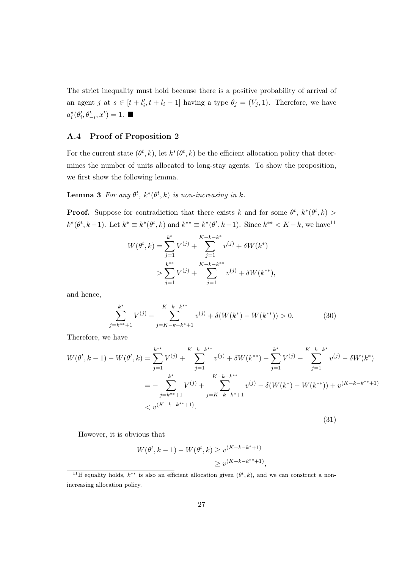The strict inequality must hold because there is a positive probability of arrival of an agent *j* at  $s \in [t + l'_i, t + l_i - 1]$  having a type  $\theta_j = (V_j, 1)$ . Therefore, we have  $a_i^*(\theta_i', \theta_{-i}^t, x^t) = 1$ .

### **A.4 Proof of Proposition 2**

For the current state  $(\theta^t, k)$ , let  $k^*(\theta^t, k)$  be the efficient allocation policy that determines the number of units allocated to long-stay agents. To show the proposition, we first show the following lemma.

**Lemma 3** For any  $\theta^t$ ,  $k^*(\theta^t, k)$  is non-increasing in k.

**Proof.** Suppose for contradiction that there exists *k* and for some  $\theta^t$ ,  $k^*(\theta^t, k)$  $k^*(\theta^t, k-1)$ . Let  $k^* \equiv k^*(\theta^t, k)$  and  $k^{**} \equiv k^*(\theta^t, k-1)$ . Since  $k^{**} < K-k$ , we have  $k^{11}$ 

$$
W(\theta^t, k) = \sum_{j=1}^{k^*} V^{(j)} + \sum_{j=1}^{K-k-k^*} v^{(j)} + \delta W(k^*)
$$
  
> 
$$
\sum_{j=1}^{k^{**}} V^{(j)} + \sum_{j=1}^{K-k-k^{**}} v^{(j)} + \delta W(k^{**}),
$$

and hence,

$$
\sum_{j=k^{**}+1}^{k^*} V^{(j)} - \sum_{j=K-k-k^*+1}^{K-k-k^{**}} v^{(j)} + \delta(W(k^*) - W(k^{**})) > 0.
$$
 (30)

Therefore, we have

$$
W(\theta^t, k-1) - W(\theta^t, k) = \sum_{j=1}^{k^{**}} V^{(j)} + \sum_{j=1}^{K-k-k^{**}} v^{(j)} + \delta W(k^{**}) - \sum_{j=1}^{k^{*}} V^{(j)} - \sum_{j=1}^{K-k-k^{*}} v^{(j)} - \delta W(k^{*})
$$
  

$$
= -\sum_{j=k^{**}+1}^{k^{*}} V^{(j)} + \sum_{j=K-k-k^{**}+1}^{K-k-k^{**}} v^{(j)} - \delta (W(k^{*}) - W(k^{**})) + v^{(K-k-k^{**}+1)}
$$
  

$$
< v^{(K-k-k^{**}+1)}.
$$
 (31)

However, it is obvious that

$$
W(\theta^t, k - 1) - W(\theta^t, k) \ge v^{(K - k - k^* + 1)}
$$
  

$$
\ge v^{(K - k - k^{**} + 1)},
$$

<sup>&</sup>lt;sup>11</sup>If equality holds,  $k^{**}$  is also an efficient allocation given  $(\theta^t, k)$ , and we can construct a nonincreasing allocation policy.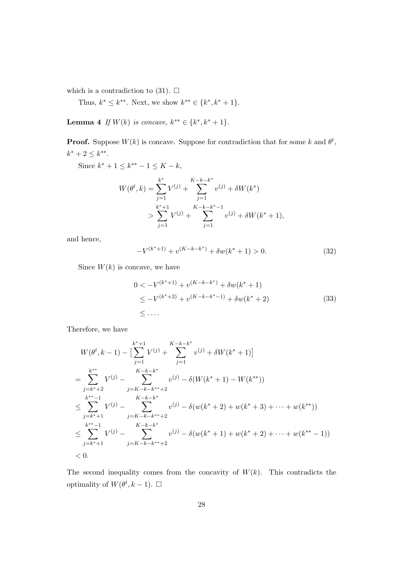which is a contradiction to (31).  $\Box$ 

Thus,  $k^* \leq k^{**}$ . Next, we show  $k^{**} \in \{k^*, k^* + 1\}$ .

Lemma 4 *If*  $W(k)$  *is concave,*  $k^{**} \in \{k^*, k^* + 1\}$ *.* 

**Proof.** Suppose  $W(k)$  is concave. Suppose for contradiction that for some k and  $\theta^t$ ,  $k^* + 2 \leq k^{**}$ .

Since  $k^* + 1 \leq k^{**} - 1 \leq K - k$ ,

$$
W(\theta^t, k) = \sum_{j=1}^{k^*} V^{(j)} + \sum_{j=1}^{K-k-k^*} v^{(j)} + \delta W(k^*)
$$
  
> 
$$
\sum_{j=1}^{k^*+1} V^{(j)} + \sum_{j=1}^{K-k-k^*-1} v^{(j)} + \delta W(k^* + 1),
$$

and hence,

$$
-V^{(k^*+1)} + v^{(K-k-k^*)} + \delta w(k^*+1) > 0.
$$
\n(32)

Since  $W(k)$  is concave, we have

$$
0 < -V^{(k^*+1)} + v^{(K-k-k^*)} + \delta w(k^*+1)
$$
  
\n
$$
\leq -V^{(k^*+2)} + v^{(K-k-k^*-1)} + \delta w(k^*+2)
$$
  
\n
$$
\leq \dots
$$
 (33)

Therefore, we have

$$
W(\theta^t, k-1) - \left[\sum_{j=1}^{k^*+1} V^{(j)} + \sum_{j=1}^{K-k-k^*} v^{(j)} + \delta W(k^*+1)\right]
$$
  
\n
$$
= \sum_{j=k^*+2}^{k^{**}} V^{(j)} - \sum_{j=K-k-k^*+2}^{K-k-k^*} v^{(j)} - \delta(W(k^*+1) - W(k^{**}))
$$
  
\n
$$
\leq \sum_{j=k^*+1}^{k^{**}-1} V^{(j)} - \sum_{j=K-k-k^*+2}^{K-k-k^*} v^{(j)} - \delta(w(k^*+2) + w(k^*+3) + \dots + w(k^{**}))
$$
  
\n
$$
\leq \sum_{j=k^*+1}^{k^{**}-1} V^{(j)} - \sum_{j=K-k-k^*+2}^{K-k-k^*} v^{(j)} - \delta(w(k^*+1) + w(k^*+2) + \dots + w(k^{**}-1))
$$
  
\n
$$
< 0.
$$

The second inequality comes from the concavity of  $W(k)$ . This contradicts the optimality of  $W(\theta^t, k-1)$ .  $\square$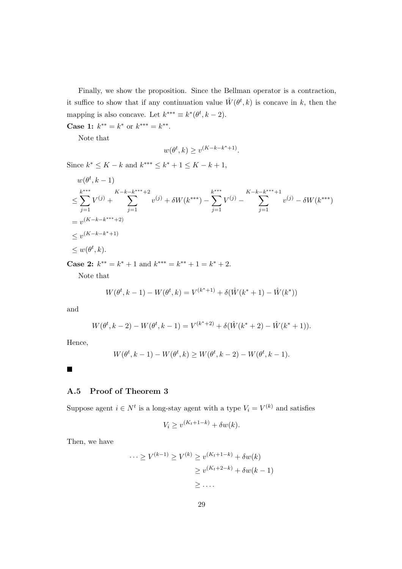Finally, we show the proposition. Since the Bellman operator is a contraction, it suffice to show that if any continuation value  $\hat{W}(\theta^t, k)$  is concave in k, then the mapping is also concave. Let  $k^{***} \equiv k^*(\theta^t, k-2)$ .

**Case 1:**  $k^{**} = k^*$  or  $k^{***} = k^{**}$ .

Note that

$$
w(\theta^t, k) \ge v^{(K-k-k^*+1)}.
$$

Since  $k^*$  ≤  $K - k$  and  $k^{***}$  ≤  $k^* + 1$  ≤  $K - k + 1$ ,

$$
w(\theta^t, k - 1)
$$
  
\n
$$
\leq \sum_{j=1}^{k^{***}} V^{(j)} + \sum_{j=1}^{K-k-k^{***}+2} v^{(j)} + \delta W(k^{***}) - \sum_{j=1}^{k^{***}} V^{(j)} - \sum_{j=1}^{K-k-k^{***}+1} v^{(j)} - \delta W(k^{***})
$$
  
\n
$$
= v^{(K-k-k^{***}+2)}
$$
  
\n
$$
\leq v^{(K-k-k^{**}+1)}
$$
  
\n
$$
\leq w(\theta^t, k).
$$

**Case 2:**  $k^{**} = k^* + 1$  and  $k^{***} = k^{**} + 1 = k^* + 2$ .

Note that

$$
W(\theta^t, k-1) - W(\theta^t, k) = V^{(k^*+1)} + \delta(\hat{W}(k^*+1) - \hat{W}(k^*))
$$

and

$$
W(\theta^t, k-2) - W(\theta^t, k-1) = V^{(k^*+2)} + \delta(\hat{W}(k^*+2) - \hat{W}(k^*+1)).
$$

Hence,

$$
W(\theta^t, k-1) - W(\theta^t, k) \ge W(\theta^t, k-2) - W(\theta^t, k-1).
$$

 $\blacksquare$ 

### **A.5 Proof of Theorem 3**

Suppose agent  $i \in N^t$  is a long-stay agent with a type  $V_i = V^{(k)}$  and satisfies

$$
V_i \ge v^{(K_t + 1 - k)} + \delta w(k).
$$

Then, we have

$$
\cdots \ge V^{(k-1)} \ge V^{(k)} \ge v^{(K_t+1-k)} + \delta w(k)
$$

$$
\ge v^{(K_t+2-k)} + \delta w(k-1)
$$

$$
\ge \dots
$$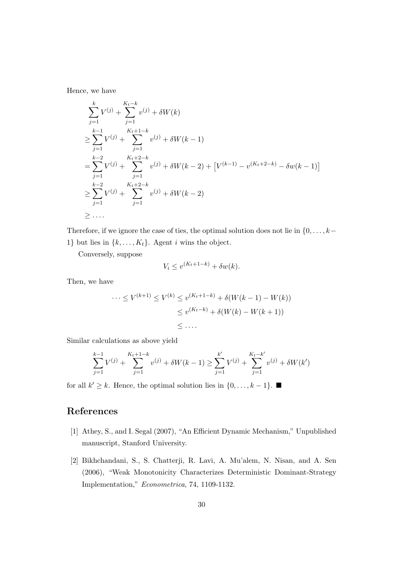Hence, we have

$$
\sum_{j=1}^{k} V^{(j)} + \sum_{j=1}^{K_t - k} v^{(j)} + \delta W(k)
$$
\n
$$
\geq \sum_{j=1}^{k-1} V^{(j)} + \sum_{j=1}^{K_t + 1 - k} v^{(j)} + \delta W(k - 1)
$$
\n
$$
= \sum_{j=1}^{k-2} V^{(j)} + \sum_{j=1}^{K_t + 2 - k} v^{(j)} + \delta W(k - 2) + [V^{(k-1)} - v^{(K_t + 2 - k)} - \delta w(k - 1)]
$$
\n
$$
\geq \sum_{j=1}^{k-2} V^{(j)} + \sum_{j=1}^{K_t + 2 - k} v^{(j)} + \delta W(k - 2)
$$
\n
$$
\geq \dots
$$

Therefore, if we ignore the case of ties, the optimal solution does not lie in  $\{0, \ldots, k-\}$ 1*}* but lies in  $\{k, \ldots, K_t\}$ . Agent *i* wins the object.

Conversely, suppose

$$
V_i \le v^{(K_t + 1 - k)} + \delta w(k).
$$

Then, we have

$$
\cdots \le V^{(k+1)} \le V^{(k)} \le v^{(K_t+1-k)} + \delta(W(k-1) - W(k))
$$
  

$$
\le v^{(K_t-k)} + \delta(W(k) - W(k+1))
$$
  

$$
\le \dots
$$

Similar calculations as above yield

$$
\sum_{j=1}^{k-1} V^{(j)} + \sum_{j=1}^{K_t+1-k} v^{(j)} + \delta W(k-1) \ge \sum_{j=1}^{k'} V^{(j)} + \sum_{j=1}^{K_t-k'} v^{(j)} + \delta W(k')
$$

for all  $k' \geq k$ . Hence, the optimal solution lies in  $\{0, \ldots, k-1\}$ . ■

# **References**

- [1] Athey, S., and I. Segal (2007), "An Efficient Dynamic Mechanism," Unpublished manuscript, Stanford University.
- [2] Bikhchandani, S., S. Chatterji, R. Lavi, A. Mu'alem, N. Nisan, and A. Sen (2006), "Weak Monotonicity Characterizes Deterministic Dominant-Strategy Implementation," *Econometrica*, 74, 1109-1132.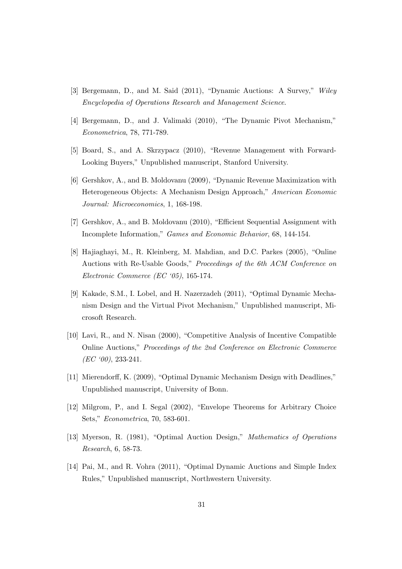- [3] Bergemann, D., and M. Said (2011), "Dynamic Auctions: A Survey," *Wiley Encyclopedia of Operations Research and Management Science*.
- [4] Bergemann, D., and J. Valimaki (2010), "The Dynamic Pivot Mechanism," *Econometrica*, 78, 771-789.
- [5] Board, S., and A. Skrzypacz (2010), "Revenue Management with Forward-Looking Buyers," Unpublished manuscript, Stanford University.
- [6] Gershkov, A., and B. Moldovanu (2009), "Dynamic Revenue Maximization with Heterogeneous Objects: A Mechanism Design Approach," *American Economic Journal: Microeconomics*, 1, 168-198.
- [7] Gershkov, A., and B. Moldovanu (2010), "Efficient Sequential Assignment with Incomplete Information," *Games and Economic Behavior*, 68, 144-154.
- [8] Hajiaghayi, M., R. Kleinberg, M. Mahdian, and D.C. Parkes (2005), "Online Auctions with Re-Usable Goods," *Proceedings of the 6th ACM Conference on Electronic Commerce (EC '05)*, 165-174.
- [9] Kakade, S.M., I. Lobel, and H. Nazerzadeh (2011), "Optimal Dynamic Mechanism Design and the Virtual Pivot Mechanism," Unpublished manuscript, Microsoft Research.
- [10] Lavi, R., and N. Nisan (2000), "Competitive Analysis of Incentive Compatible Online Auctions," *Proceedings of the 2nd Conference on Electronic Commerce (EC '00)*, 233-241.
- [11] Mierendorff, K. (2009), "Optimal Dynamic Mechanism Design with Deadlines," Unpublished manuscript, University of Bonn.
- [12] Milgrom, P., and I. Segal (2002), "Envelope Theorems for Arbitrary Choice Sets," *Econometrica*, 70, 583-601.
- [13] Myerson, R. (1981), "Optimal Auction Design," *Mathematics of Operations Research*, 6, 58-73.
- [14] Pai, M., and R. Vohra (2011), "Optimal Dynamic Auctions and Simple Index Rules," Unpublished manuscript, Northwestern University.